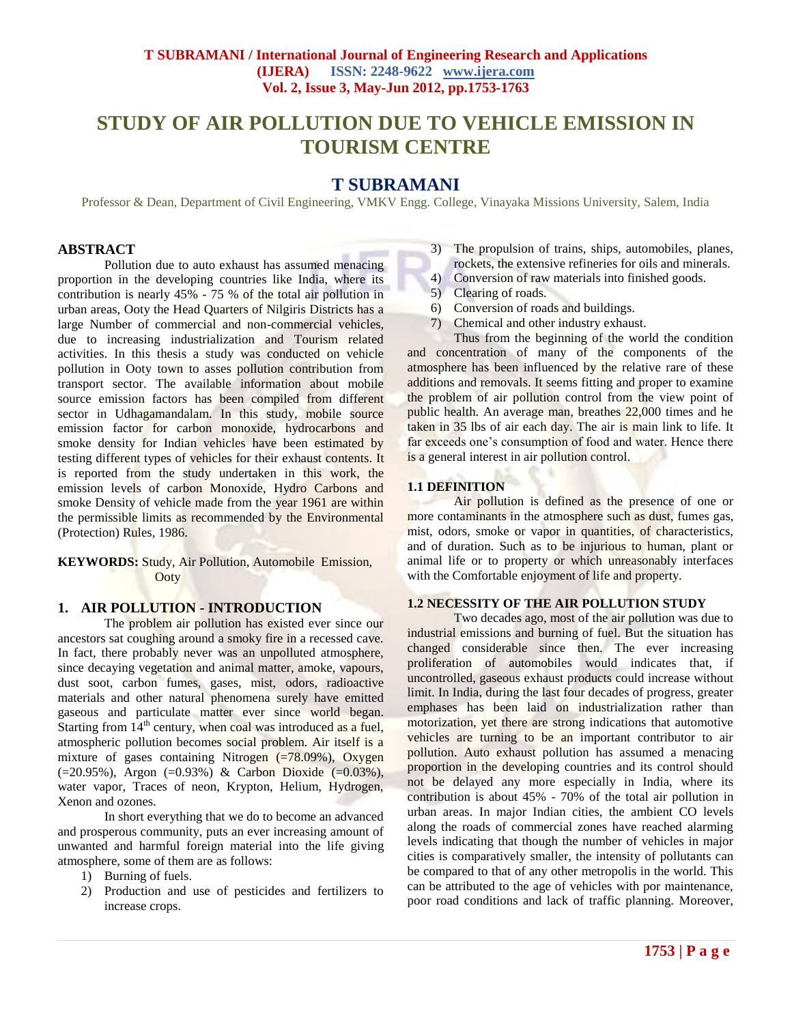# **STUDY OF AIR POLLUTION DUE TO VEHICLE EMISSION IN TOURISM CENTRE**

# **T SUBRAMANI**

Professor & Dean, Department of Civil Engineering, VMKV Engg. College, Vinayaka Missions University, Salem, India

## **ABSTRACT**

Pollution due to auto exhaust has assumed menacing proportion in the developing countries like India, where its contribution is nearly 45% - 75 % of the total air pollution in urban areas, Ooty the Head Quarters of Nilgiris Districts has a large Number of commercial and non-commercial vehicles, due to increasing industrialization and Tourism related activities. In this thesis a study was conducted on vehicle pollution in Ooty town to asses pollution contribution from transport sector. The available information about mobile source emission factors has been compiled from different sector in Udhagamandalam. In this study, mobile source emission factor for carbon monoxide, hydrocarbons and smoke density for Indian vehicles have been estimated by testing different types of vehicles for their exhaust contents. It is reported from the study undertaken in this work, the emission levels of carbon Monoxide, Hydro Carbons and smoke Density of vehicle made from the year 1961 are within the permissible limits as recommended by the Environmental (Protection) Rules, 1986.

**KEYWORDS:** Study, Air Pollution, Automobile Emission, Ooty

## **1. AIR POLLUTION - INTRODUCTION**

The problem air pollution has existed ever since our ancestors sat coughing around a smoky fire in a recessed cave. In fact, there probably never was an unpolluted atmosphere, since decaying vegetation and animal matter, amoke, vapours, dust soot, carbon fumes, gases, mist, odors, radioactive materials and other natural phenomena surely have emitted gaseous and particulate matter ever since world began. Starting from  $14<sup>th</sup>$  century, when coal was introduced as a fuel, atmospheric pollution becomes social problem. Air itself is a mixture of gases containing Nitrogen  $(=78.09\%)$ , Oxygen (=20.95%), Argon (=0.93%) & Carbon Dioxide (=0.03%), water vapor, Traces of neon, Krypton, Helium, Hydrogen, Xenon and ozones.

In short everything that we do to become an advanced and prosperous community, puts an ever increasing amount of unwanted and harmful foreign material into the life giving atmosphere, some of them are as follows:

- 1) Burning of fuels.
- 2) Production and use of pesticides and fertilizers to increase crops.
- 3) The propulsion of trains, ships, automobiles, planes, rockets, the extensive refineries for oils and minerals.
- 4) Conversion of raw materials into finished goods.
- 5) Clearing of roads.
- 6) Conversion of roads and buildings.
- 7) Chemical and other industry exhaust.

Thus from the beginning of the world the condition and concentration of many of the components of the atmosphere has been influenced by the relative rare of these additions and removals. It seems fitting and proper to examine the problem of air pollution control from the view point of public health. An average man, breathes 22,000 times and he taken in 35 lbs of air each day. The air is main link to life. It far exceeds one's consumption of food and water. Hence there is a general interest in air pollution control.

## **1.1 DEFINITION**

Air pollution is defined as the presence of one or more contaminants in the atmosphere such as dust, fumes gas, mist, odors, smoke or vapor in quantities, of characteristics, and of duration. Such as to be injurious to human, plant or animal life or to property or which unreasonably interfaces with the Comfortable enjoyment of life and property.

## **1.2 NECESSITY OF THE AIR POLLUTION STUDY**

Two decades ago, most of the air pollution was due to industrial emissions and burning of fuel. But the situation has changed considerable since then. The ever increasing proliferation of automobiles would indicates that, if uncontrolled, gaseous exhaust products could increase without limit. In India, during the last four decades of progress, greater emphases has been laid on industrialization rather than motorization, yet there are strong indications that automotive vehicles are turning to be an important contributor to air pollution. Auto exhaust pollution has assumed a menacing proportion in the developing countries and its control should not be delayed any more especially in India, where its contribution is about 45% - 70% of the total air pollution in urban areas. In major Indian cities, the ambient CO levels along the roads of commercial zones have reached alarming levels indicating that though the number of vehicles in major cities is comparatively smaller, the intensity of pollutants can be compared to that of any other metropolis in the world. This can be attributed to the age of vehicles with por maintenance, poor road conditions and lack of traffic planning. Moreover,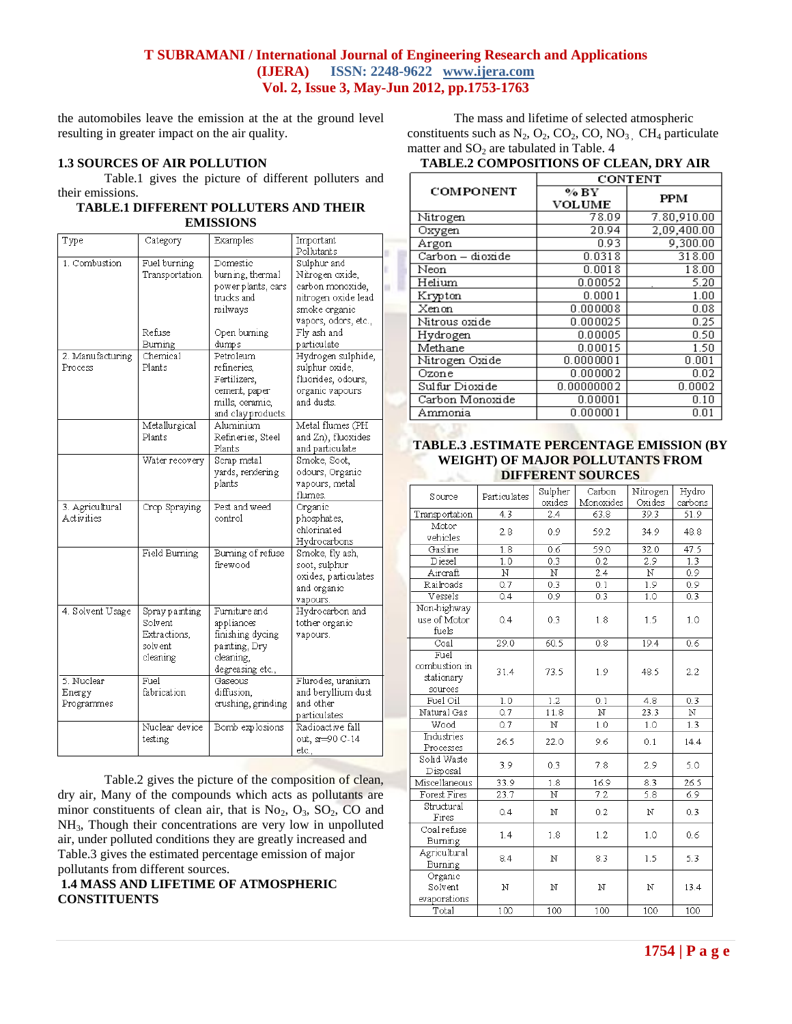AS DE

the automobiles leave the emission at the at the ground level resulting in greater impact on the air quality.

# **1.3 SOURCES OF AIR POLLUTION**

Table.1 gives the picture of different polluters and their emissions.

#### **TABLE.1 DIFFERENT POLLUTERS AND THEIR EMISSIONS**

| Type                                 | Category                                                          | <b>Examples</b>                                                                                    | Important<br>Pollutants                                                                                            |
|--------------------------------------|-------------------------------------------------------------------|----------------------------------------------------------------------------------------------------|--------------------------------------------------------------------------------------------------------------------|
| 1. Combustion                        | Fuel burning<br>Transportation.                                   | Domestic<br>burning, thermal<br>power plants, cars<br>trucks and<br>railways                       | Sulphur and<br>Nitrogen oxide,<br>carbon monoxide,<br>nitrogen oxide lead<br>smoke organic<br>vapors, odors, etc., |
|                                      | Refuse<br>Burning                                                 | Open burning<br>dumps                                                                              | Fly ash and<br>particulate                                                                                         |
| 2. Manufacturing<br>Process          | Chemical<br>Plants                                                | Petroleum<br>refineries,<br>Fertilizers,<br>cement, paper<br>mills, ceramic,<br>and clay products. | Hydrogen sulphide,<br>sulphur oxide,<br>fluorides, odours,<br>organic vapours<br>and dusts.                        |
|                                      | Metallurgical<br>Plants                                           | Aluminium<br>Refineries, Steel<br>Plants                                                           | Metal flumes (PH<br>and Zn), fluoxides<br>and particulate                                                          |
|                                      | Water recovery                                                    | Scrap metal<br>yards, rendering<br>plants                                                          | Smoke, Soot,<br>odours, Organic<br>vapours, metal<br>flumes.                                                       |
| 3. Agricultural<br><b>Activities</b> | Crop Spraying                                                     | Pest and weed<br>control                                                                           | Organic<br>phosphates,<br>chlorinated<br>Hydrocarbons                                                              |
|                                      | Field Burning                                                     | Burning of refuse<br>firewood                                                                      | Smoke, fly ash,<br>soot, sulphur<br>oxides, particulates<br>and organic<br>vapours.                                |
| 4. Solvent Usage                     | Spray painting<br>Solvent<br>Extractions,<br>solv ent<br>cleaning | Furniture and<br>appliances<br>finishing dycing<br>painting, Dry<br>cleaning,<br>degreasing etc.,  | Hydrocarbon and<br>tother organic<br>vapours.                                                                      |
| 5. Nuclear<br>Energy<br>Programmes   | Fuel<br>fabrication                                               | Gaseous<br>diffusion,<br>crushing, grinding                                                        | Flurodes, uranium<br>and beryllium dust<br>and other<br>particulates                                               |
|                                      | Nuclear device<br>testing                                         | Bomb explosions                                                                                    | Radioactive fall<br>out, sr=90 C-14<br>etc.,                                                                       |

Table.2 gives the picture of the composition of clean, dry air, Many of the compounds which acts as pollutants are minor constituents of clean air, that is  $No_2$ ,  $O_3$ ,  $SO_2$ ,  $CO$  and NH3, Though their concentrations are very low in unpolluted air, under polluted conditions they are greatly increased and Table.3 gives the estimated percentage emission of major pollutants from different sources.

**1.4 MASS AND LIFETIME OF ATMOSPHERIC CONSTITUENTS** 

The mass and lifetime of selected atmospheric constituents such as  $N_2$ ,  $O_2$ ,  $CO_2$ ,  $CO$ ,  $NO_3$ ,  $CH_4$  particulate matter and  $SO<sub>2</sub>$  are tabulated in Table. 4

# **TABLE.2 COMPOSITIONS OF CLEAN, DRY AIR**

|                  | CONTENT               |             |  |  |
|------------------|-----------------------|-------------|--|--|
| COMPONENT        | % BY<br><b>VOLUME</b> | PPM         |  |  |
| Nitrogen         | 78.09                 | 7.80,910.00 |  |  |
| Oxygen           | 20.94                 | 2,09,400.00 |  |  |
| Argon            | 0.93                  | 9,300.00    |  |  |
| Carbon – dioxide | 0.0318                | 318.00      |  |  |
| Neon             | 0.0018                | 18.00       |  |  |
| Helium           | 0.00052               | 5.20        |  |  |
| Krypton          | 0.0001                | 1.00        |  |  |
| Xenon            | 0.000008              | 0.08        |  |  |
| Nitrous oxide    | 0.000025              | 0.25        |  |  |
| Hydrogen         | 0.00005               | 0.50        |  |  |
| Methane          | 0.00015               | 1.50        |  |  |
| Nitrogen Oxide   | 0.0000001             | $_{0.001}$  |  |  |
| Ozone            | 0.000002              | 0.02        |  |  |
| Sulfur Dioxide   | 0.00000002            | 0.0002      |  |  |
| Carbon Monoxide  | 0.00001               | 0.10        |  |  |
| Ammonia          | 0.000001              | 0.01        |  |  |

#### **TABLE.3 .ESTIMATE PERCENTAGE EMISSION (BY WEIGHT) OF MAJOR POLLUTANTS FROM DIFFERENT SOURCES**

| Source                                         | Particulates            | Sulpher<br>oxides | Carbon<br>Monoxides     | Nitrogen<br>Oxides | Hydro<br>carbons |
|------------------------------------------------|-------------------------|-------------------|-------------------------|--------------------|------------------|
| Transportation                                 | 4.3                     | 2.4               | 63.8                    | 39.3               | 51.9             |
| Motor                                          |                         |                   |                         |                    |                  |
| vehicles                                       | 2.8                     | 0.9               | 59.2                    | 34.9               | 48.8             |
| Gasline                                        | $\overline{1.8}$        | 0.6               | 59.0                    | 32.0               | 47.5             |
| Diesel                                         | 1.0                     | 0.3               | 0.2                     | 2.9                | 1.3              |
| Aircraft                                       | $\overline{\mathbf{N}}$ | N                 | 2.4                     | N                  | 0.9              |
| Railroads                                      | 0.7                     | 0.3               | 0.1                     | 1.9                | 0.9              |
| Vessels                                        | 0.4                     | 0.9               | 0.3                     | 1.0                | 0.3              |
| Non-highway<br>use of Motor<br>fuels           | 0.4                     | 0.3               | 1.8                     | 1.5                | 1.0              |
| Coal                                           | 29.0                    | 60.5              | 0.8                     | 19.4               | 0.6              |
| Fuel<br>combustion in<br>stationary<br>sources | 31.4                    | 73.5              | 1.9                     | 48.5               | 2.2              |
| Fuel Oil                                       | 1.0                     | 1.2               | 0.1                     | 4.8                | 0.3              |
| Natural Gas                                    | 0.7                     | 11.8              | $\overline{\mathbf{N}}$ | 23.3               | N                |
| Wood                                           | 0.7                     | N                 | 1.0                     | 1.0                | 1.3              |
| Industries<br>Processes                        | 26.5                    | 22.0              | 9.6                     | 0.1                | 14.4             |
| Solid Waste<br>Disposal                        | 3.9                     | 0.3               | 7.8                     | 2.9                | 5.0              |
| Miscellaneous                                  | 33.9                    | 1.8               | 16.9                    | 8.3                | 26.5             |
| Forest Fires                                   | 23.7                    | N                 | $\overline{7.2}$        | $\overline{5.8}$   | 6.9              |
| Structural<br>Fires                            | 0.4                     | N                 | 0.2                     | N                  | 0.3              |
| Coalrefuse<br>Burning                          | 1.4                     | 1.8               | 1.2                     | 1.0                | 0.6              |
| Agricultural<br>Burning                        | 8.4                     | N                 | 8.3                     | 1.5                | 5.3              |
| Organic<br>Solvent<br>evaporations             | N                       | N                 | N                       | N                  | 13.4             |
| Total                                          | 100                     | 100               | 100                     | 100                | 100              |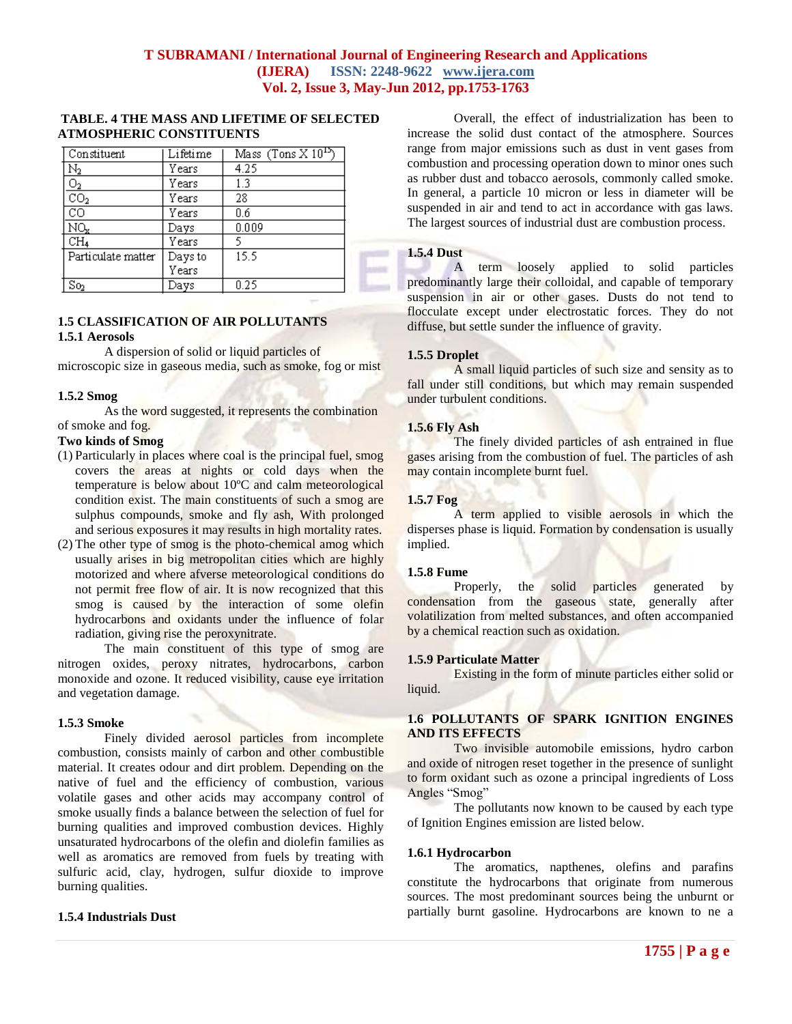## **TABLE. 4 THE MASS AND LIFETIME OF SELECTED ATMOSPHERIC CONSTITUENTS**

| Constituent              | Lifetime | Mass $(Tons X 10^{15})$ |  |
|--------------------------|----------|-------------------------|--|
| Ν2                       | Years    | 4.25                    |  |
| $\frac{1}{2}$            | Years    | 1.3                     |  |
| $\overline{{\rm co_2}}$  | Years    | 28                      |  |
| CС                       | Years    | 0.6                     |  |
| NQ,                      | Days     | 0.009                   |  |
| CH <sub>4</sub>          | Years    |                         |  |
| Particulate matter       | Days to  | 15.5                    |  |
|                          | Years    |                         |  |
| $\overline{\text{So}}_2$ | Days     | በ 25                    |  |

# **1.5 CLASSIFICATION OF AIR POLLUTANTS**

#### **1.5.1 Aerosols**

A dispersion of solid or liquid particles of microscopic size in gaseous media, such as smoke, fog or mist

#### **1.5.2 Smog**

As the word suggested, it represents the combination of smoke and fog.

#### **Two kinds of Smog**

- (1) Particularly in places where coal is the principal fuel, smog covers the areas at nights or cold days when the temperature is below about 10ºC and calm meteorological condition exist. The main constituents of such a smog are sulphus compounds, smoke and fly ash, With prolonged and serious exposures it may results in high mortality rates.
- (2) The other type of smog is the photo-chemical amog which usually arises in big metropolitan cities which are highly motorized and where afverse meteorological conditions do not permit free flow of air. It is now recognized that this smog is caused by the interaction of some olefin hydrocarbons and oxidants under the influence of folar radiation, giving rise the peroxynitrate.

The main constituent of this type of smog are nitrogen oxides, peroxy nitrates, hydrocarbons, carbon monoxide and ozone. It reduced visibility, cause eye irritation and vegetation damage.

#### **1.5.3 Smoke**

Finely divided aerosol particles from incomplete combustion, consists mainly of carbon and other combustible material. It creates odour and dirt problem. Depending on the native of fuel and the efficiency of combustion, various volatile gases and other acids may accompany control of smoke usually finds a balance between the selection of fuel for burning qualities and improved combustion devices. Highly unsaturated hydrocarbons of the olefin and diolefin families as well as aromatics are removed from fuels by treating with sulfuric acid, clay, hydrogen, sulfur dioxide to improve burning qualities.

#### **1.5.4 Industrials Dust**

Overall, the effect of industrialization has been to increase the solid dust contact of the atmosphere. Sources range from major emissions such as dust in vent gases from combustion and processing operation down to minor ones such as rubber dust and tobacco aerosols, commonly called smoke. In general, a particle 10 micron or less in diameter will be suspended in air and tend to act in accordance with gas laws. The largest sources of industrial dust are combustion process.

## **1.5.4 Dust**

A term loosely applied to solid particles predominantly large their colloidal, and capable of temporary suspension in air or other gases. Dusts do not tend to flocculate except under electrostatic forces. They do not diffuse, but settle sunder the influence of gravity.

#### **1.5.5 Droplet**

A small liquid particles of such size and sensity as to fall under still conditions, but which may remain suspended under turbulent conditions.

#### **1.5.6 Fly Ash**

The finely divided particles of ash entrained in flue gases arising from the combustion of fuel. The particles of ash may contain incomplete burnt fuel.

#### **1.5.7 Fog**

A term applied to visible aerosols in which the disperses phase is liquid. Formation by condensation is usually implied.

## **1.5.8 Fume**

Properly, the solid particles generated by condensation from the gaseous state, generally after volatilization from melted substances, and often accompanied by a chemical reaction such as oxidation.

#### **1.5.9 Particulate Matter**

Existing in the form of minute particles either solid or liquid.

## **1.6 POLLUTANTS OF SPARK IGNITION ENGINES AND ITS EFFECTS**

Two invisible automobile emissions, hydro carbon and oxide of nitrogen reset together in the presence of sunlight to form oxidant such as ozone a principal ingredients of Loss Angles "Smog"

The pollutants now known to be caused by each type of Ignition Engines emission are listed below.

#### **1.6.1 Hydrocarbon**

The aromatics, napthenes, olefins and parafins constitute the hydrocarbons that originate from numerous sources. The most predominant sources being the unburnt or partially burnt gasoline. Hydrocarbons are known to ne a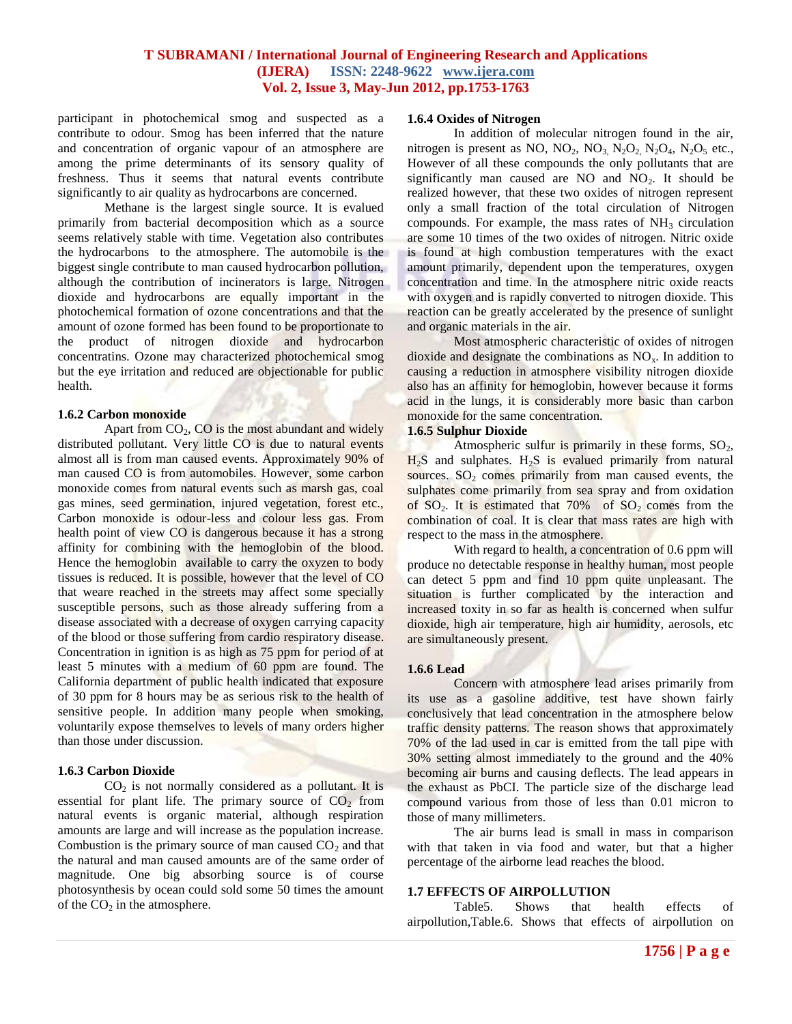participant in photochemical smog and suspected as a contribute to odour. Smog has been inferred that the nature and concentration of organic vapour of an atmosphere are among the prime determinants of its sensory quality of freshness. Thus it seems that natural events contribute significantly to air quality as hydrocarbons are concerned.

Methane is the largest single source. It is evalued primarily from bacterial decomposition which as a source seems relatively stable with time. Vegetation also contributes the hydrocarbons to the atmosphere. The automobile is the biggest single contribute to man caused hydrocarbon pollution, although the contribution of incinerators is large. Nitrogen dioxide and hydrocarbons are equally important in the photochemical formation of ozone concentrations and that the amount of ozone formed has been found to be proportionate to the product of nitrogen dioxide and hydrocarbon concentratins. Ozone may characterized photochemical smog but the eye irritation and reduced are objectionable for public health.

#### **1.6.2 Carbon monoxide**

Apart from  $CO<sub>2</sub>$ ,  $CO$  is the most abundant and widely distributed pollutant. Very little CO is due to natural events almost all is from man caused events. Approximately 90% of man caused CO is from automobiles. However, some carbon monoxide comes from natural events such as marsh gas, coal gas mines, seed germination, injured vegetation, forest etc., Carbon monoxide is odour-less and colour less gas. From health point of view CO is dangerous because it has a strong affinity for combining with the hemoglobin of the blood. Hence the hemoglobin available to carry the oxyzen to body tissues is reduced. It is possible, however that the level of CO that weare reached in the streets may affect some specially susceptible persons, such as those already suffering from a disease associated with a decrease of oxygen carrying capacity of the blood or those suffering from cardio respiratory disease. Concentration in ignition is as high as 75 ppm for period of at least 5 minutes with a medium of 60 ppm are found. The California department of public health indicated that exposure of 30 ppm for 8 hours may be as serious risk to the health of sensitive people. In addition many people when smoking, voluntarily expose themselves to levels of many orders higher than those under discussion.

#### **1.6.3 Carbon Dioxide**

 $CO<sub>2</sub>$  is not normally considered as a pollutant. It is essential for plant life. The primary source of  $CO<sub>2</sub>$  from natural events is organic material, although respiration amounts are large and will increase as the population increase. Combustion is the primary source of man caused  $CO<sub>2</sub>$  and that the natural and man caused amounts are of the same order of magnitude. One big absorbing source is of course photosynthesis by ocean could sold some 50 times the amount of the  $CO<sub>2</sub>$  in the atmosphere.

#### **1.6.4 Oxides of Nitrogen**

In addition of molecular nitrogen found in the air, nitrogen is present as NO,  $NO_2$ ,  $NO_3$ ,  $N_2O_2$ ,  $N_2O_4$ ,  $N_2O_5$  etc., However of all these compounds the only pollutants that are significantly man caused are NO and  $NO<sub>2</sub>$ . It should be realized however, that these two oxides of nitrogen represent only a small fraction of the total circulation of Nitrogen compounds. For example, the mass rates of  $NH<sub>3</sub>$  circulation are some 10 times of the two oxides of nitrogen. Nitric oxide is found at high combustion temperatures with the exact amount primarily, dependent upon the temperatures, oxygen concentration and time. In the atmosphere nitric oxide reacts with oxygen and is rapidly converted to nitrogen dioxide. This reaction can be greatly accelerated by the presence of sunlight and organic materials in the air.

Most atmospheric characteristic of oxides of nitrogen dioxide and designate the combinations as  $NO<sub>x</sub>$ . In addition to causing a reduction in atmosphere visibility nitrogen dioxide also has an affinity for hemoglobin, however because it forms acid in the lungs, it is considerably more basic than carbon monoxide for the same concentration.

#### **1.6.5 Sulphur Dioxide**

Atmospheric sulfur is primarily in these forms,  $SO_2$ ,  $H<sub>2</sub>S$  and sulphates.  $H<sub>2</sub>S$  is evalued primarily from natural sources.  $SO<sub>2</sub>$  comes primarily from man caused events, the sulphates come primarily from sea spray and from oxidation of  $SO_2$ . It is estimated that  $70\%$  of  $SO_2$  comes from the combination of coal. It is clear that mass rates are high with respect to the mass in the atmosphere.

With regard to health, a concentration of 0.6 ppm will produce no detectable response in healthy human, most people can detect 5 ppm and find 10 ppm quite unpleasant. The situation is further complicated by the interaction and increased toxity in so far as health is concerned when sulfur dioxide, high air temperature, high air humidity, aerosols, etc are simultaneously present.

#### **1.6.6 Lead**

Concern with atmosphere lead arises primarily from its use as a gasoline additive, test have shown fairly conclusively that lead concentration in the atmosphere below traffic density patterns. The reason shows that approximately 70% of the lad used in car is emitted from the tall pipe with 30% setting almost immediately to the ground and the 40% becoming air burns and causing deflects. The lead appears in the exhaust as PbCI. The particle size of the discharge lead compound various from those of less than 0.01 micron to those of many millimeters.

The air burns lead is small in mass in comparison with that taken in via food and water, but that a higher percentage of the airborne lead reaches the blood.

#### **1.7 EFFECTS OF AIRPOLLUTION**

 Table5. Shows that health effects of airpollution,Table.6. Shows that effects of airpollution on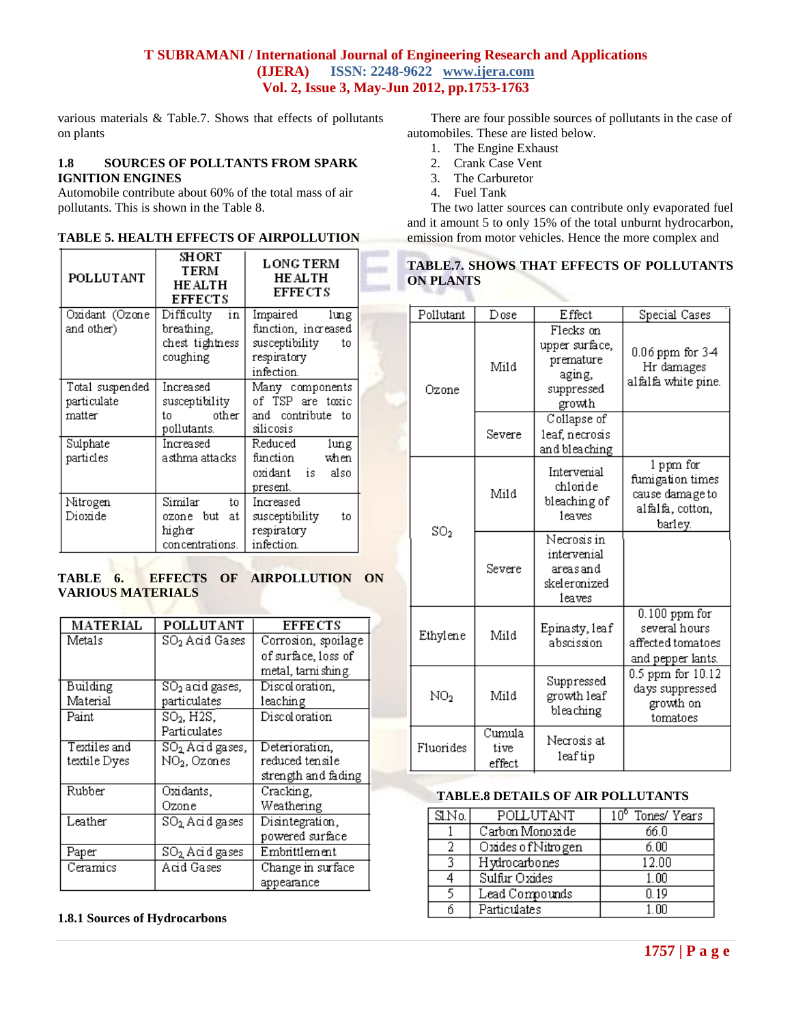various materials & Table.7. Shows that effects of pollutants on plants

## **1.8 SOURCES OF POLLTANTS FROM SPARK IGNITION ENGINES**

Automobile contribute about 60% of the total mass of air pollutants. This is shown in the Table 8.

| POLLUTANT                                | SHORT<br>TERM<br><b>HE ALTH</b><br><b>EFFECTS</b>             | <b>LONG TERM</b><br><b>HE ALTH</b><br><b>EFFE CT S</b>                                        |  |
|------------------------------------------|---------------------------------------------------------------|-----------------------------------------------------------------------------------------------|--|
| Oxidant (Ozone<br>and other)             | Difficulty<br>in<br>breathing,<br>chest tightness<br>coughing | Impaired<br>lung<br>function, increased<br>susceptibility<br>to.<br>respiratory<br>infection. |  |
| Total suspended<br>particulate<br>matter | Increased<br>susceptibility<br>other l<br>t.n<br>pollutants.  | Many components<br>of TSP are toxic<br>and contribute to<br>silicosis                         |  |
| Sulphate<br>particles                    | Increased<br>asthma attacks .                                 | Reduced<br>lung<br>function<br>when<br>oxidant is also<br>present.                            |  |
| Nitrogen<br>Dioxide                      | Similar<br>to<br>ozone but<br>at<br>higher<br>concentrations. | Increased<br>susceptibility<br>to.<br>respiratory<br>infection.                               |  |

## **TABLE 6. EFFECTS OF AIRPOLLUTION ON VARIOUS MATERIALS**

| MATERIAL     | POLLUTANT                   | <b>EFFE CTS</b>     |
|--------------|-----------------------------|---------------------|
| Metals       | SO <sub>2</sub> Acid Gases  | Corrosion, spoilage |
|              |                             | of surface, loss of |
|              |                             | metal, tarni shing. |
| Building     | $SO2$ acid gases,           | Discoloration,      |
| Material     | particulates                | leaching            |
| Paint        | $SO2$ , H2S,                | Discoloration       |
|              | Particulates                |                     |
| Textiles and | SO <sub>2</sub> Acid gases, | Deterioration,      |
| textile Dyes | NO <sub>2</sub> , Ozones    | reduced tensile     |
|              |                             | strength and fading |
| Rubber       | Oxidants,                   | Cracking,           |
|              | Ozone                       | Weathering          |
| Leather      | SO <sub>2</sub> Acid gases  | Disintegration,     |
|              |                             | powered surface     |
| Paper        | SO <sub>2</sub> Acid gases  | Embrittlement       |
| Ceramics     | Acid Gases                  | Change in surface   |
|              |                             | appearance          |

## **1.8.1 Sources of Hydrocarbons**

There are four possible sources of pollutants in the case of automobiles. These are listed below.

- 1. The Engine Exhaust
- 2. Crank Case Vent
- 3. The Carburetor
- 4. Fuel Tank

The two latter sources can contribute only evaporated fuel and it amount 5 to only 15% of the total unburnt hydrocarbon, emission from motor vehicles. Hence the more complex and

# **TABLE.7. SHOWS THAT EFFECTS OF POLLUTANTS ON PLANTS**

| Pollutant       | Dose                     | Effect                                                                     | Special Cases                                                                   |
|-----------------|--------------------------|----------------------------------------------------------------------------|---------------------------------------------------------------------------------|
| Ozone           | Mild                     | Flecks on<br>upper surface.<br>premature<br>aging,<br>suppressed<br>growth | 0.06 ppm for 3-4<br>Hr damages<br>alfalfa white pine.                           |
|                 | Severe                   | Collapse of<br>leaf, necrosis<br>and bleaching                             |                                                                                 |
| $\mathrm{SO}_2$ | Mild                     | Intervenial<br>chloride<br>bleaching of<br>leaves                          | 1 ppm for<br>fumigation times<br>cause damage to<br>alfalfa, cotton,<br>barley. |
|                 | Severe                   | Necrosis in<br>intervenial<br>areasand<br>skeleronized<br>leaves           |                                                                                 |
| Ethylene        | Mild                     | Epinasty, leaf<br>abscission                                               | $0.100$ ppm for<br>several hours<br>affected tomatoes<br>and pepper lants.      |
| NO <sub>2</sub> | Mild                     | Suppressed<br>growth leaf<br>bleaching                                     | 0.5 ppm for 10.12<br>days suppressed<br>growth on<br>tomatoes                   |
| Fluorides       | Cumula<br>tive<br>effect | Necrosis at<br>leaftip                                                     |                                                                                 |

## **TABLE.8 DETAILS OF AIR POLLUTANTS**

| S <sub>1</sub> N <sub>0</sub> | POLLUTANT          | 10° Tones/ Years |
|-------------------------------|--------------------|------------------|
|                               | Carbon Monoxide    | 66.0             |
|                               | Oxides of Nitrogen | 6.00             |
| 2                             | Hydrocarbones      | 12.00            |
|                               | Sulfur Oxides      | 1.00             |
|                               | Lead Compounds     | N 19             |
|                               | Particulates       | 1 NN             |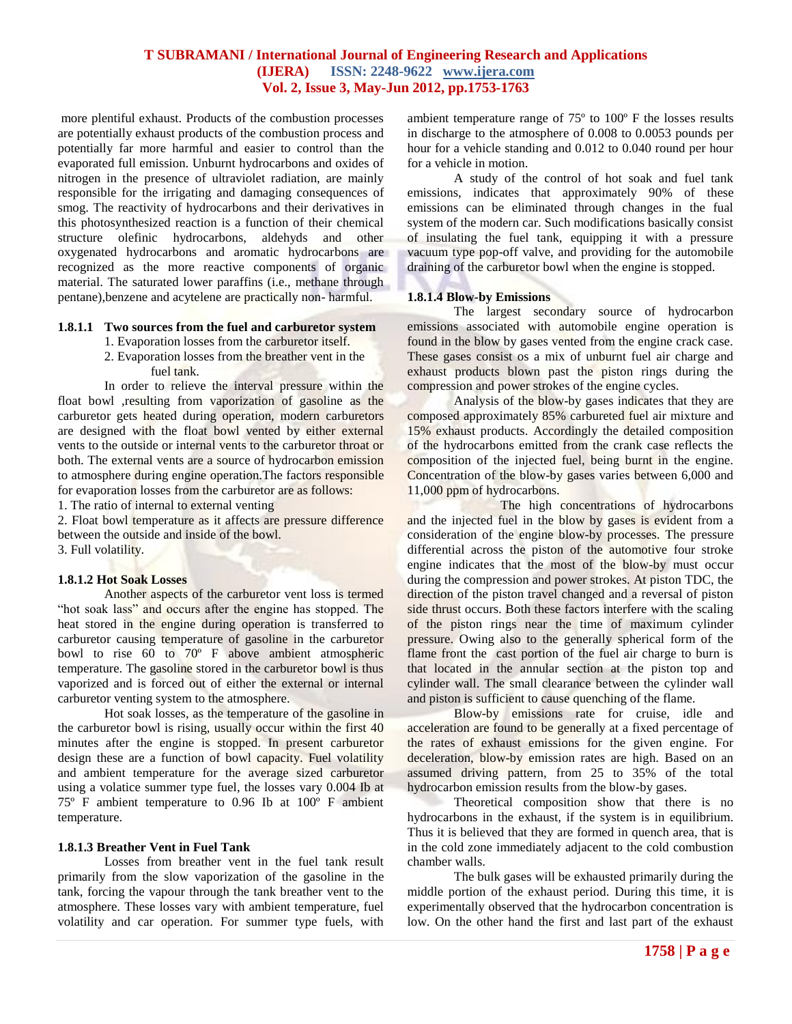more plentiful exhaust. Products of the combustion processes are potentially exhaust products of the combustion process and potentially far more harmful and easier to control than the evaporated full emission. Unburnt hydrocarbons and oxides of nitrogen in the presence of ultraviolet radiation, are mainly responsible for the irrigating and damaging consequences of smog. The reactivity of hydrocarbons and their derivatives in this photosynthesized reaction is a function of their chemical structure olefinic hydrocarbons, aldehyds and other oxygenated hydrocarbons and aromatic hydrocarbons are recognized as the more reactive components of organic material. The saturated lower paraffins (i.e., methane through pentane),benzene and acytelene are practically non- harmful.

## **1.8.1.1 Two sources from the fuel and carburetor system**

- 1. Evaporation losses from the carburetor itself.
- 2. Evaporation losses from the breather vent in the fuel tank.

In order to relieve the interval pressure within the float bowl ,resulting from vaporization of gasoline as the carburetor gets heated during operation, modern carburetors are designed with the float bowl vented by either external vents to the outside or internal vents to the carburetor throat or both. The external vents are a source of hydrocarbon emission to atmosphere during engine operation. The factors responsible for evaporation losses from the carburetor are as follows:

1. The ratio of internal to external venting

2. Float bowl temperature as it affects are pressure difference between the outside and inside of the bowl. 3. Full volatility.

#### **1.8.1.2 Hot Soak Losses**

Another aspects of the carburetor vent loss is termed "hot soak lass" and occurs after the engine has stopped. The heat stored in the engine during operation is transferred to carburetor causing temperature of gasoline in the carburetor bowl to rise 60 to 70º F above ambient atmospheric temperature. The gasoline stored in the carburetor bowl is thus vaporized and is forced out of either the external or internal carburetor venting system to the atmosphere.

Hot soak losses, as the temperature of the gasoline in the carburetor bowl is rising, usually occur within the first 40 minutes after the engine is stopped. In present carburetor design these are a function of bowl capacity. Fuel volatility and ambient temperature for the average sized carburetor using a volatice summer type fuel, the losses vary 0.004 Ib at 75º F ambient temperature to 0.96 Ib at 100º F ambient temperature.

## **1.8.1.3 Breather Vent in Fuel Tank**

Losses from breather vent in the fuel tank result primarily from the slow vaporization of the gasoline in the tank, forcing the vapour through the tank breather vent to the atmosphere. These losses vary with ambient temperature, fuel volatility and car operation. For summer type fuels, with

ambient temperature range of 75º to 100º F the losses results in discharge to the atmosphere of 0.008 to 0.0053 pounds per hour for a vehicle standing and 0.012 to 0.040 round per hour for a vehicle in motion.

A study of the control of hot soak and fuel tank emissions, indicates that approximately 90% of these emissions can be eliminated through changes in the fual system of the modern car. Such modifications basically consist of insulating the fuel tank, equipping it with a pressure vacuum type pop-off valve, and providing for the automobile draining of the carburetor bowl when the engine is stopped.

#### **1.8.1.4 Blow-by Emissions**

The largest secondary source of hydrocarbon emissions associated with automobile engine operation is found in the blow by gases vented from the engine crack case. These gases consist os a mix of unburnt fuel air charge and exhaust products blown past the piston rings during the compression and power strokes of the engine cycles.

Analysis of the blow-by gases indicates that they are composed approximately 85% carbureted fuel air mixture and 15% exhaust products. Accordingly the detailed composition of the hydrocarbons emitted from the crank case reflects the composition of the injected fuel, being burnt in the engine. Concentration of the blow-by gases varies between 6,000 and 11,000 ppm of hydrocarbons.

The high concentrations of hydrocarbons and the injected fuel in the blow by gases is evident from a consideration of the engine blow-by processes. The pressure differential across the piston of the automotive four stroke engine indicates that the most of the blow-by must occur during the compression and power strokes. At piston TDC, the direction of the piston travel changed and a reversal of piston side thrust occurs. Both these factors interfere with the scaling of the piston rings near the time of maximum cylinder pressure. Owing also to the generally spherical form of the flame front the cast portion of the fuel air charge to burn is that located in the annular section at the piston top and cylinder wall. The small clearance between the cylinder wall and piston is sufficient to cause quenching of the flame.

Blow-by emissions rate for cruise, idle and acceleration are found to be generally at a fixed percentage of the rates of exhaust emissions for the given engine. For deceleration, blow-by emission rates are high. Based on an assumed driving pattern, from 25 to 35% of the total hydrocarbon emission results from the blow-by gases.

Theoretical composition show that there is no hydrocarbons in the exhaust, if the system is in equilibrium. Thus it is believed that they are formed in quench area, that is in the cold zone immediately adjacent to the cold combustion chamber walls.

The bulk gases will be exhausted primarily during the middle portion of the exhaust period. During this time, it is experimentally observed that the hydrocarbon concentration is low. On the other hand the first and last part of the exhaust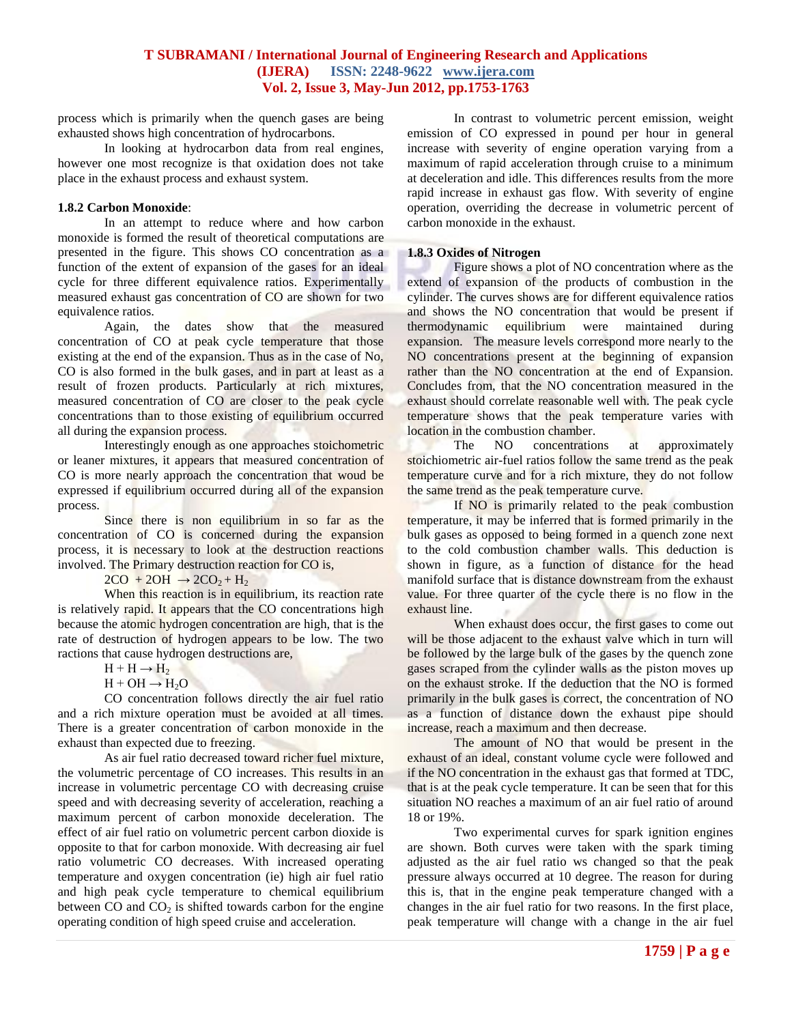process which is primarily when the quench gases are being exhausted shows high concentration of hydrocarbons.

In looking at hydrocarbon data from real engines, however one most recognize is that oxidation does not take place in the exhaust process and exhaust system.

#### **1.8.2 Carbon Monoxide**:

In an attempt to reduce where and how carbon monoxide is formed the result of theoretical computations are presented in the figure. This shows CO concentration as a function of the extent of expansion of the gases for an ideal cycle for three different equivalence ratios. Experimentally measured exhaust gas concentration of CO are shown for two equivalence ratios.

Again, the dates show that the measured concentration of CO at peak cycle temperature that those existing at the end of the expansion. Thus as in the case of No, CO is also formed in the bulk gases, and in part at least as a result of frozen products. Particularly at rich mixtures, measured concentration of CO are closer to the peak cycle concentrations than to those existing of equilibrium occurred all during the expansion process.

Interestingly enough as one approaches stoichometric or leaner mixtures, it appears that measured concentration of CO is more nearly approach the concentration that woud be expressed if equilibrium occurred during all of the expansion process.

Since there is non equilibrium in so far as the concentration of CO is concerned during the expansion process, it is necessary to look at the destruction reactions involved. The Primary destruction reaction for CO is,

 $2CO + 2OH \rightarrow 2CO<sub>2</sub> + H<sub>2</sub>$ 

When this reaction is in equilibrium, its reaction rate is relatively rapid. It appears that the CO concentrations high because the atomic hydrogen concentration are high, that is the rate of destruction of hydrogen appears to be low. The two ractions that cause hydrogen destructions are,

 $H + H \rightarrow H_2$ 

 $H + OH \rightarrow H_2O$ 

CO concentration follows directly the air fuel ratio and a rich mixture operation must be avoided at all times. There is a greater concentration of carbon monoxide in the exhaust than expected due to freezing.

As air fuel ratio decreased toward richer fuel mixture, the volumetric percentage of CO increases. This results in an increase in volumetric percentage CO with decreasing cruise speed and with decreasing severity of acceleration, reaching a maximum percent of carbon monoxide deceleration. The effect of air fuel ratio on volumetric percent carbon dioxide is opposite to that for carbon monoxide. With decreasing air fuel ratio volumetric CO decreases. With increased operating temperature and oxygen concentration (ie) high air fuel ratio and high peak cycle temperature to chemical equilibrium between CO and  $CO<sub>2</sub>$  is shifted towards carbon for the engine operating condition of high speed cruise and acceleration.

In contrast to volumetric percent emission, weight emission of CO expressed in pound per hour in general increase with severity of engine operation varying from a maximum of rapid acceleration through cruise to a minimum at deceleration and idle. This differences results from the more rapid increase in exhaust gas flow. With severity of engine operation, overriding the decrease in volumetric percent of carbon monoxide in the exhaust.

#### **1.8.3 Oxides of Nitrogen**

Figure shows a plot of NO concentration where as the extend of expansion of the products of combustion in the cylinder. The curves shows are for different equivalence ratios and shows the NO concentration that would be present if thermodynamic equilibrium were maintained during expansion. The measure levels correspond more nearly to the NO concentrations present at the beginning of expansion rather than the NO concentration at the end of Expansion. Concludes from, that the NO concentration measured in the exhaust should correlate reasonable well with. The peak cycle temperature shows that the peak temperature varies with location in the combustion chamber.

The NO concentrations at approximately stoichiometric air-fuel ratios follow the same trend as the peak temperature curve and for a rich mixture, they do not follow the same trend as the peak temperature curve.

If NO is primarily related to the peak combustion temperature, it may be inferred that is formed primarily in the bulk gases as opposed to being formed in a quench zone next to the cold combustion chamber walls. This deduction is shown in figure, as a function of distance for the head manifold surface that is distance downstream from the exhaust value. For three quarter of the cycle there is no flow in the exhaust line.

When exhaust does occur, the first gases to come out will be those adjacent to the exhaust valve which in turn will be followed by the large bulk of the gases by the quench zone gases scraped from the cylinder walls as the piston moves up on the exhaust stroke. If the deduction that the NO is formed primarily in the bulk gases is correct, the concentration of NO as a function of distance down the exhaust pipe should increase, reach a maximum and then decrease.

The amount of NO that would be present in the exhaust of an ideal, constant volume cycle were followed and if the NO concentration in the exhaust gas that formed at TDC, that is at the peak cycle temperature. It can be seen that for this situation NO reaches a maximum of an air fuel ratio of around 18 or 19%.

Two experimental curves for spark ignition engines are shown. Both curves were taken with the spark timing adjusted as the air fuel ratio ws changed so that the peak pressure always occurred at 10 degree. The reason for during this is, that in the engine peak temperature changed with a changes in the air fuel ratio for two reasons. In the first place, peak temperature will change with a change in the air fuel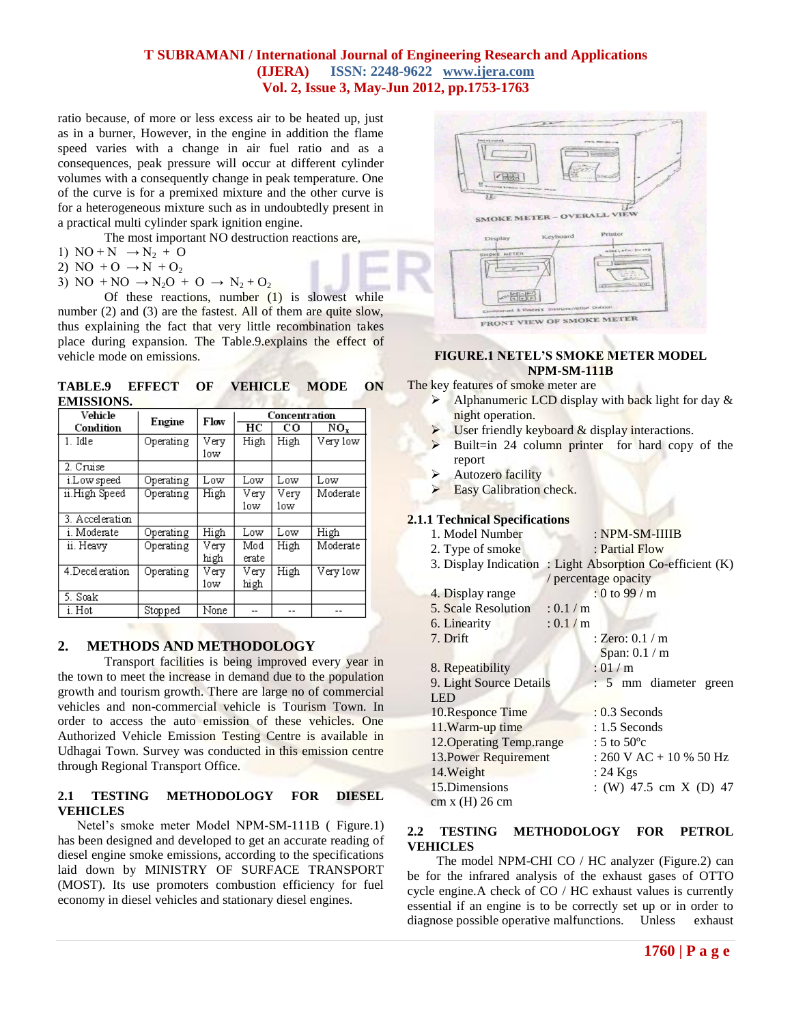ratio because, of more or less excess air to be heated up, just as in a burner, However, in the engine in addition the flame speed varies with a change in air fuel ratio and as a consequences, peak pressure will occur at different cylinder volumes with a consequently change in peak temperature. One of the curve is for a premixed mixture and the other curve is for a heterogeneous mixture such as in undoubtedly present in a practical multi cylinder spark ignition engine.

The most important NO destruction reactions are,

- 1)  $NO + N \rightarrow N_2 + O$
- 2) NO +  $O \rightarrow N + O_2$
- 3) NO + NO  $\rightarrow$  N<sub>2</sub>O + O  $\rightarrow$  N<sub>2</sub> + O<sub>2</sub>

Of these reactions, number  $(1)$  is slowest while number (2) and (3) are the fastest. All of them are quite slow, thus explaining the fact that very little recombination takes place during expansion. The Table.9.explains the effect of vehicle mode on emissions.

**TABLE.9 EFFECT OF VEHICLE MODE ON EMISSIONS.** 

| Vehicle          | Flow<br>Engine |      |       | Concentration |          |
|------------------|----------------|------|-------|---------------|----------|
| Condition        |                |      | HС    | co            | NO.      |
| 1. Idle          | Operating      | Very | High  | High          | Very low |
|                  |                | low  |       |               |          |
| 2. Cruise        |                |      |       |               |          |
| i.Low speed      | Operating      | Low  | Low   | Low           | Low      |
| ii.High Speed    | Operating      | High | Very  | Very          | Moderate |
|                  |                |      | low   | low           |          |
| 3. Acceleration  |                |      |       |               |          |
| i. Moderate      | Operating      | High | Low   | Low           | High     |
| ii. Heavy        | Operating      | Verv | Mod   | High          | Moderate |
|                  |                | high | erate |               |          |
| 4. Decel eration | Operating      | Verv | Very  | High          | Very low |
|                  |                | low  | high  |               |          |
| 5. Soak          |                |      |       |               |          |
| i. Hot           | Stopped        | None |       | $-$           |          |

# **2. METHODS AND METHODOLOGY**

Transport facilities is being improved every year in the town to meet the increase in demand due to the population growth and tourism growth. There are large no of commercial vehicles and non-commercial vehicle is Tourism Town. In order to access the auto emission of these vehicles. One Authorized Vehicle Emission Testing Centre is available in Udhagai Town. Survey was conducted in this emission centre through Regional Transport Office.

## **2.1 TESTING METHODOLOGY FOR DIESEL VEHICLES**

 Netel's smoke meter Model NPM-SM-111B ( Figure.1) has been designed and developed to get an accurate reading of diesel engine smoke emissions, according to the specifications laid down by MINISTRY OF SURFACE TRANSPORT (MOST). Its use promoters combustion efficiency for fuel economy in diesel vehicles and stationary diesel engines.



## **FIGURE.1 NETEL'S SMOKE METER MODEL NPM-SM-111B**

The key features of smoke meter are

- $\triangleright$  Alphanumeric LCD display with back light for day  $\&$ night operation.
- User friendly keyboard & display interactions.
- Built=in 24 column printer for hard copy of the report
- Autozero facility
- Easy Calibration check.

## **2.1.1 Technical Specifications**

| 1. Model Number           |           | $: NPM-SM-IIIIB$                    |
|---------------------------|-----------|-------------------------------------|
| 2. Type of smoke          |           | : Partial Flow                      |
| 3. Display Indication     |           | : Light Absorption Co-efficient (K) |
|                           |           | / percentage opacity                |
| 4. Display range          |           | $: 0$ to 99 / m                     |
| 5. Scale Resolution       | : 0.1 / m |                                     |
| 6. Linearity              | : 0.1 / m |                                     |
| 7. Drift                  |           | : Zero: $0.1/m$                     |
|                           |           | Span: $0.1 / m$                     |
| 8. Repeatibility          |           | :01/m                               |
| 9. Light Source Details   |           | : 5 mm diameter green               |
| <b>LED</b>                |           |                                     |
| 10. Responce Time         |           | $: 0.3$ Seconds                     |
| 11. Warm-up time          |           | $: 1.5$ Seconds                     |
| 12. Operating Temp. range |           | : 5 to $50^{\circ}$ c               |
| 13. Power Requirement     |           | : 260 V AC + 10 % 50 Hz             |
| 14. Weight                |           | $: 24$ Kgs                          |
| 15. Dimensions            |           | : (W) 47.5 cm X (D) 47              |
| cm x (H) 26 cm            |           |                                     |
|                           |           |                                     |

# **2.2 TESTING METHODOLOGY FOR PETROL VEHICLES**

 The model NPM-CHI CO / HC analyzer (Figure.2) can be for the infrared analysis of the exhaust gases of OTTO cycle engine.A check of CO / HC exhaust values is currently essential if an engine is to be correctly set up or in order to diagnose possible operative malfunctions. Unless exhaust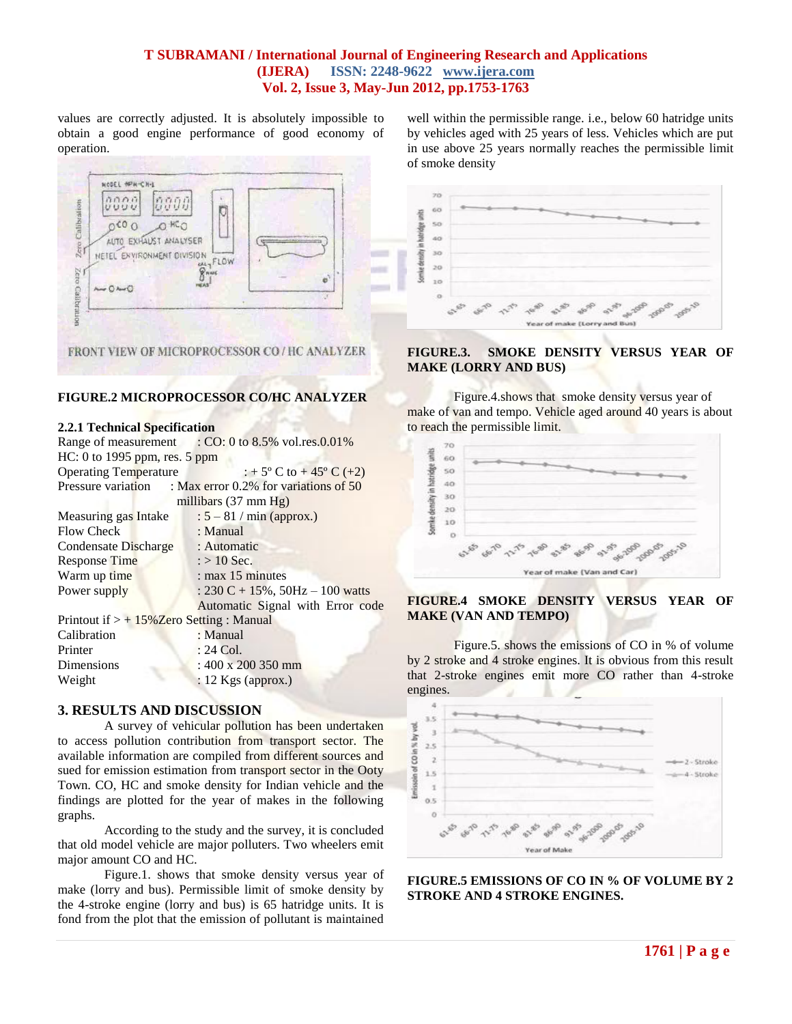values are correctly adjusted. It is absolutely impossible to obtain a good engine performance of good economy of operation.



## **FIGURE.2 MICROPROCESSOR CO/HC ANALYZER**

#### **2.2.1 Technical Specification**

|                                             | Range of measurement : CO: 0 to 8.5% vol.res.0.01%          |
|---------------------------------------------|-------------------------------------------------------------|
| HC: 0 to 1995 ppm, res. 5 ppm               |                                                             |
| <b>Operating Temperature</b>                | : + 5° C to + 45° C (+2)                                    |
|                                             | Pressure variation : Max error 0.2% for variations of 50    |
|                                             | millibars $(37 \text{ mm Hg})$                              |
| Measuring gas Intake                        | $: 5 - 81 / min$ (approx.)                                  |
| <b>Flow Check</b>                           | : Manual                                                    |
| Condensate Discharge                        | : Automatic                                                 |
| <b>Response Time</b>                        | $\therefore$ > 10 Sec.                                      |
| Warm up time                                | $:$ max 15 minutes                                          |
| Power supply                                | : $230 \text{ C} + 15\%, 50 \text{ Hz} - 100 \text{ watts}$ |
|                                             | Automatic Signal with Error code                            |
| Printout if $> +15\%$ Zero Setting : Manual |                                                             |
| Calibration                                 | : Manual                                                    |
| Printer                                     | $: 24$ Col.                                                 |
| Dimensions                                  | $: 400 \times 200$ 350 mm                                   |
| Weight                                      | $: 12$ Kgs (approx.)                                        |
|                                             |                                                             |

## **3. RESULTS AND DISCUSSION**

A survey of vehicular pollution has been undertaken to access pollution contribution from transport sector. The available information are compiled from different sources and sued for emission estimation from transport sector in the Ooty Town. CO, HC and smoke density for Indian vehicle and the findings are plotted for the year of makes in the following graphs.

According to the study and the survey, it is concluded that old model vehicle are major polluters. Two wheelers emit major amount CO and HC.

Figure.1. shows that smoke density versus year of make (lorry and bus). Permissible limit of smoke density by the 4-stroke engine (lorry and bus) is 65 hatridge units. It is fond from the plot that the emission of pollutant is maintained

well within the permissible range. i.e., below 60 hatridge units by vehicles aged with 25 years of less. Vehicles which are put in use above 25 years normally reaches the permissible limit of smoke density



## **FIGURE.3. SMOKE DENSITY VERSUS YEAR OF MAKE (LORRY AND BUS)**

Figure.4.shows that smoke density versus year of make of van and tempo. Vehicle aged around 40 years is about to reach the permissible limit.



# **FIGURE.4 SMOKE DENSITY VERSUS YEAR OF MAKE (VAN AND TEMPO)**

Figure.5. shows the emissions of CO in % of volume by 2 stroke and 4 stroke engines. It is obvious from this result that 2-stroke engines emit more CO rather than 4-stroke engines.



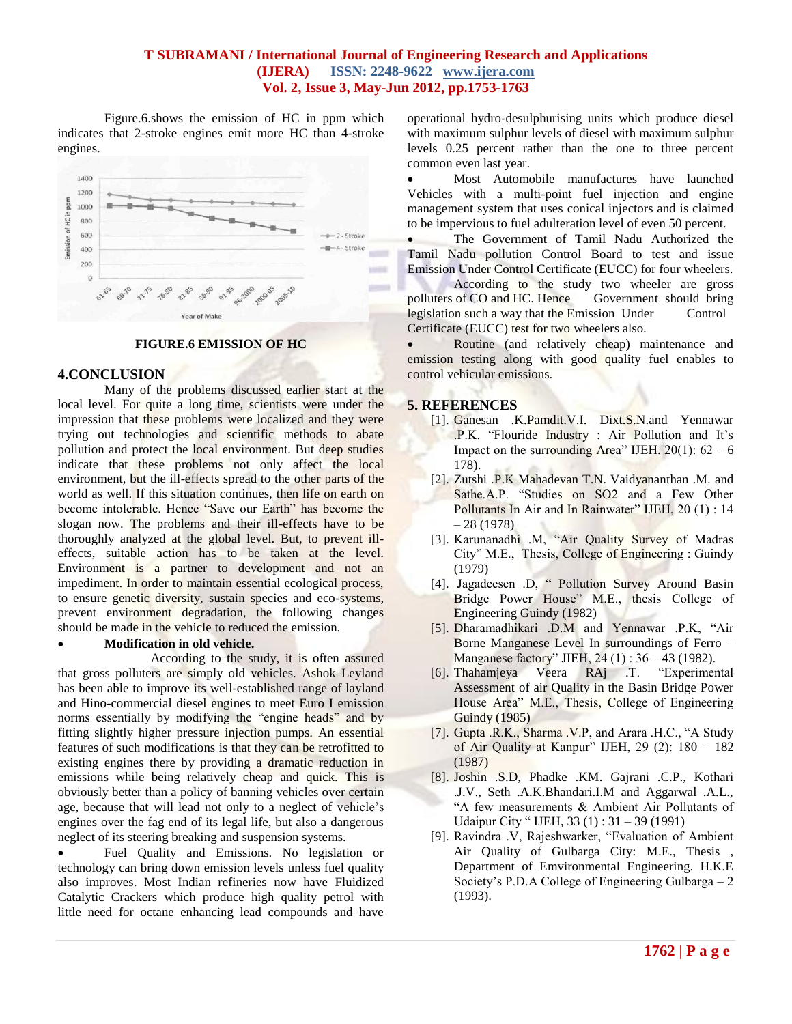Figure.6.shows the emission of HC in ppm which indicates that 2-stroke engines emit more HC than 4-stroke engines.



#### **FIGURE.6 EMISSION OF HC**

#### **4.CONCLUSION**

Many of the problems discussed earlier start at the local level. For quite a long time, scientists were under the impression that these problems were localized and they were trying out technologies and scientific methods to abate pollution and protect the local environment. But deep studies indicate that these problems not only affect the local environment, but the ill-effects spread to the other parts of the world as well. If this situation continues, then life on earth on become intolerable. Hence "Save our Earth" has become the slogan now. The problems and their ill-effects have to be thoroughly analyzed at the global level. But, to prevent illeffects, suitable action has to be taken at the level. Environment is a partner to development and not an impediment. In order to maintain essential ecological process, to ensure genetic diversity, sustain species and eco-systems, prevent environment degradation, the following changes should be made in the vehicle to reduced the emission.

## **Modification in old vehicle.**

According to the study, it is often assured that gross polluters are simply old vehicles. Ashok Leyland has been able to improve its well-established range of layland and Hino-commercial diesel engines to meet Euro I emission norms essentially by modifying the "engine heads" and by fitting slightly higher pressure injection pumps. An essential features of such modifications is that they can be retrofitted to existing engines there by providing a dramatic reduction in emissions while being relatively cheap and quick. This is obviously better than a policy of banning vehicles over certain age, because that will lead not only to a neglect of vehicle's engines over the fag end of its legal life, but also a dangerous neglect of its steering breaking and suspension systems.

 Fuel Quality and Emissions. No legislation or technology can bring down emission levels unless fuel quality also improves. Most Indian refineries now have Fluidized Catalytic Crackers which produce high quality petrol with little need for octane enhancing lead compounds and have

operational hydro-desulphurising units which produce diesel with maximum sulphur levels of diesel with maximum sulphur levels 0.25 percent rather than the one to three percent common even last year.

 Most Automobile manufactures have launched Vehicles with a multi-point fuel injection and engine management system that uses conical injectors and is claimed to be impervious to fuel adulteration level of even 50 percent.

 The Government of Tamil Nadu Authorized the Tamil Nadu pollution Control Board to test and issue Emission Under Control Certificate (EUCC) for four wheelers.

According to the study two wheeler are gross polluters of CO and HC. Hence Government should bring legislation such a way that the Emission Under Control Certificate (EUCC) test for two wheelers also.

• Routine (and relatively cheap) maintenance and emission testing along with good quality fuel enables to control vehicular emissions.

#### **5. REFERENCES**

- [1]. Ganesan .K.Pamdit.V.I. Dixt.S.N.and Yennawar .P.K. "Flouride Industry : Air Pollution and It's Impact on the surrounding Area" IJEH.  $20(1)$ :  $62 - 6$ 178).
- [2]. Zutshi .P.K Mahadevan T.N. Vaidyananthan .M. and Sathe.A.P. "Studies on SO2 and a Few Other Pollutants In Air and In Rainwater" IJEH, 20(1): 14  $-28(1978)$
- [3]. Karunanadhi .M, "Air Quality Survey of Madras City" M.E., Thesis, College of Engineering : Guindy (1979)
- [4]. Jagadeesen .D, " Pollution Survey Around Basin Bridge Power House" M.E., thesis College of Engineering Guindy (1982)
- [5]. Dharamadhikari .D.M and Yennawar .P.K, "Air Borne Manganese Level In surroundings of Ferro – Manganese factory" JIEH, 24 (1) : 36 – 43 (1982).
- [6]. Thahamjeya Veera RAj .T. "Experimental Assessment of air Quality in the Basin Bridge Power House Area" M.E., Thesis, College of Engineering Guindy (1985)
- [7]. Gupta .R.K., Sharma .V.P, and Arara .H.C., "A Study of Air Quality at Kanpur" IJEH, 29 (2): 180 – 182 (1987)
- [8]. Joshin .S.D, Phadke .KM. Gajrani .C.P., Kothari .J.V., Seth .A.K.Bhandari.I.M and Aggarwal .A.L., "A few measurements & Ambient Air Pollutants of Udaipur City " IJEH, 33 (1) : 31 – 39 (1991)
- [9]. Ravindra .V, Rajeshwarker, "Evaluation of Ambient Air Quality of Gulbarga City: M.E., Thesis , Department of Emvironmental Engineering. H.K.E Society's P.D.A College of Engineering Gulbarga – 2 (1993).